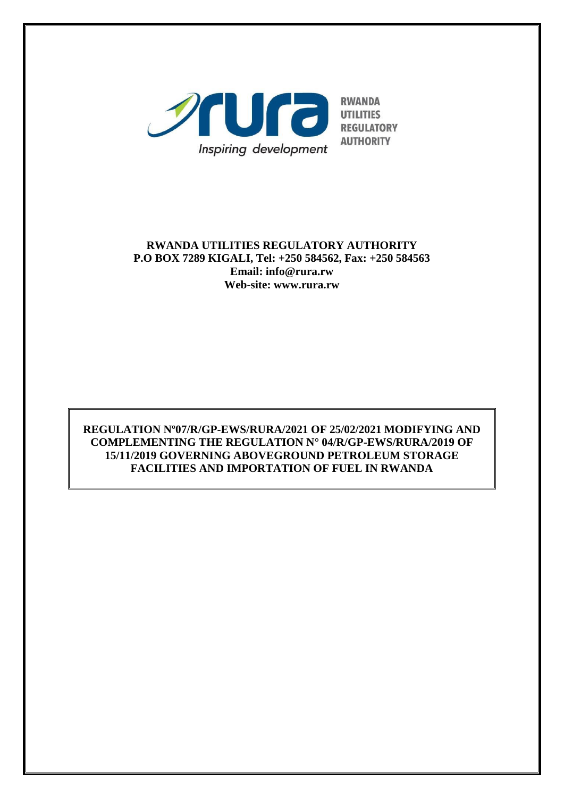

### **RWANDA UTILITIES REGULATORY AUTHORITY P.O BOX 7289 KIGALI, Tel: +250 584562, Fax: +250 584563 Email: info@rura.rw Web-site: www.rura.rw**

## **REGULATION Nº07/R/GP-EWS/RURA/2021 OF 25/02/2021 MODIFYING AND COMPLEMENTING THE REGULATION N° 04/R/GP-EWS/RURA/2019 OF 15/11/2019 GOVERNING ABOVEGROUND PETROLEUM STORAGE FACILITIES AND IMPORTATION OF FUEL IN RWANDA**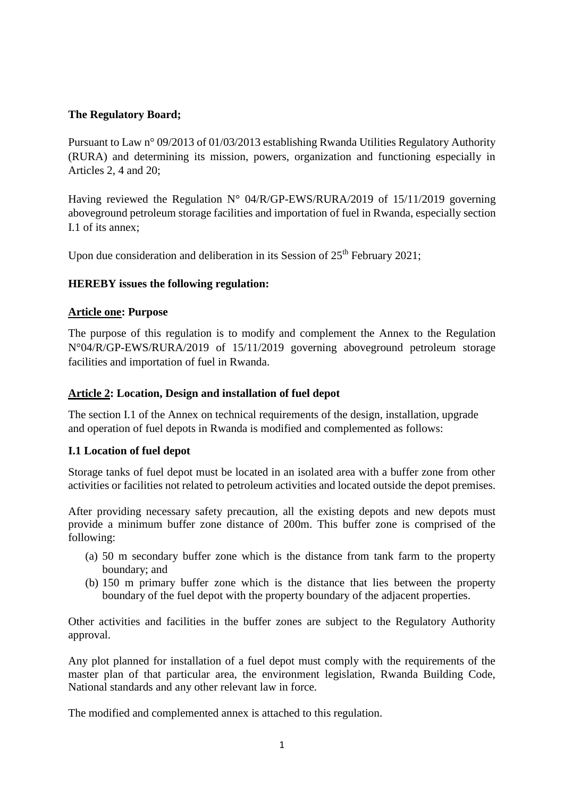### **The Regulatory Board;**

Pursuant to Law n° 09/2013 of 01/03/2013 establishing Rwanda Utilities Regulatory Authority (RURA) and determining its mission, powers, organization and functioning especially in Articles 2, 4 and 20;

Having reviewed the Regulation N° 04/R/GP-EWS/RURA/2019 of 15/11/2019 governing aboveground petroleum storage facilities and importation of fuel in Rwanda, especially section I.1 of its annex;

Upon due consideration and deliberation in its Session of  $25<sup>th</sup>$  February 2021;

### **HEREBY issues the following regulation:**

### **Article one: Purpose**

The purpose of this regulation is to modify and complement the Annex to the Regulation N°04/R/GP-EWS/RURA/2019 of 15/11/2019 governing aboveground petroleum storage facilities and importation of fuel in Rwanda.

### **Article 2: Location, Design and installation of fuel depot**

The section I.1 of the Annex on technical requirements of the design, installation, upgrade and operation of fuel depots in Rwanda is modified and complemented as follows:

## **I.1 Location of fuel depot**

Storage tanks of fuel depot must be located in an isolated area with a buffer zone from other activities or facilities not related to petroleum activities and located outside the depot premises.

After providing necessary safety precaution, all the existing depots and new depots must provide a minimum buffer zone distance of 200m. This buffer zone is comprised of the following:

- (a) 50 m secondary buffer zone which is the distance from tank farm to the property boundary; and
- (b) 150 m primary buffer zone which is the distance that lies between the property boundary of the fuel depot with the property boundary of the adjacent properties.

Other activities and facilities in the buffer zones are subject to the Regulatory Authority approval.

Any plot planned for installation of a fuel depot must comply with the requirements of the master plan of that particular area, the environment legislation, Rwanda Building Code, National standards and any other relevant law in force.

The modified and complemented annex is attached to this regulation.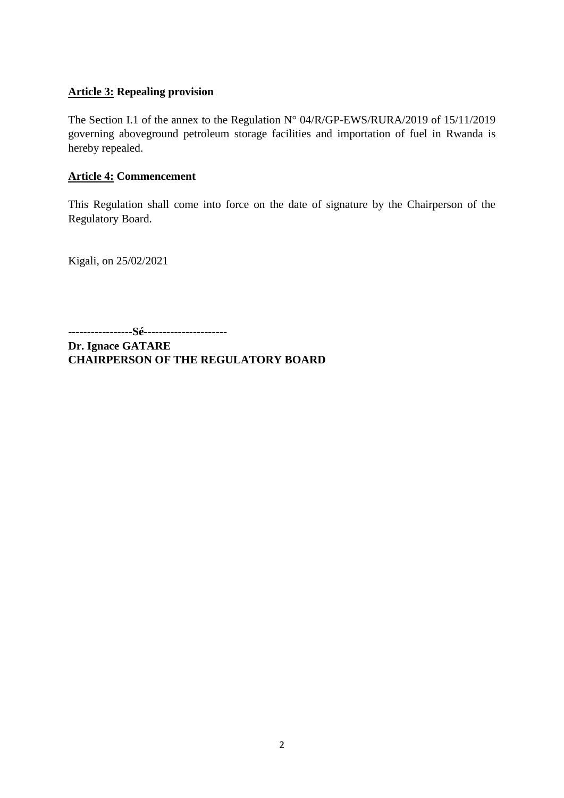#### **Article 3: Repealing provision**

The Section I.1 of the annex to the Regulation N° 04/R/GP-EWS/RURA/2019 of 15/11/2019 governing aboveground petroleum storage facilities and importation of fuel in Rwanda is hereby repealed.

### **Article 4: Commencement**

This Regulation shall come into force on the date of signature by the Chairperson of the Regulatory Board.

Kigali, on 25/02/2021

**-----------------Sé----------------------**

**Dr. Ignace GATARE CHAIRPERSON OF THE REGULATORY BOARD**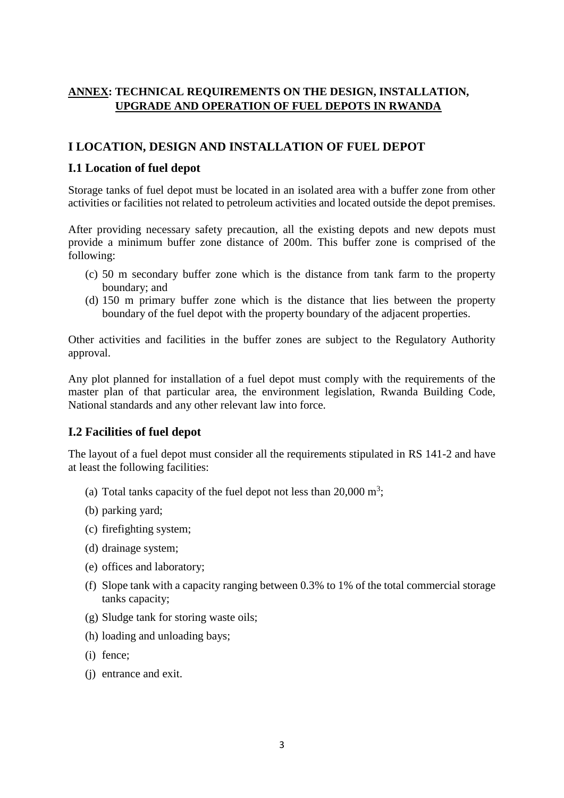### **ANNEX: TECHNICAL REQUIREMENTS ON THE DESIGN, INSTALLATION, UPGRADE AND OPERATION OF FUEL DEPOTS IN RWANDA**

## **I LOCATION, DESIGN AND INSTALLATION OF FUEL DEPOT**

## **I.1 Location of fuel depot**

Storage tanks of fuel depot must be located in an isolated area with a buffer zone from other activities or facilities not related to petroleum activities and located outside the depot premises.

After providing necessary safety precaution, all the existing depots and new depots must provide a minimum buffer zone distance of 200m. This buffer zone is comprised of the following:

- (c) 50 m secondary buffer zone which is the distance from tank farm to the property boundary; and
- (d) 150 m primary buffer zone which is the distance that lies between the property boundary of the fuel depot with the property boundary of the adjacent properties.

Other activities and facilities in the buffer zones are subject to the Regulatory Authority approval.

Any plot planned for installation of a fuel depot must comply with the requirements of the master plan of that particular area, the environment legislation, Rwanda Building Code, National standards and any other relevant law into force.

### **I.2 Facilities of fuel depot**

The layout of a fuel depot must consider all the requirements stipulated in RS 141-2 and have at least the following facilities:

- (a) Total tanks capacity of the fuel depot not less than  $20,000 \text{ m}^3$ ;
- (b) parking yard;
- (c) firefighting system;
- (d) drainage system;
- (e) offices and laboratory;
- (f) Slope tank with a capacity ranging between 0.3% to 1% of the total commercial storage tanks capacity;
- (g) Sludge tank for storing waste oils;
- (h) loading and unloading bays;
- (i) fence;
- (j) entrance and exit.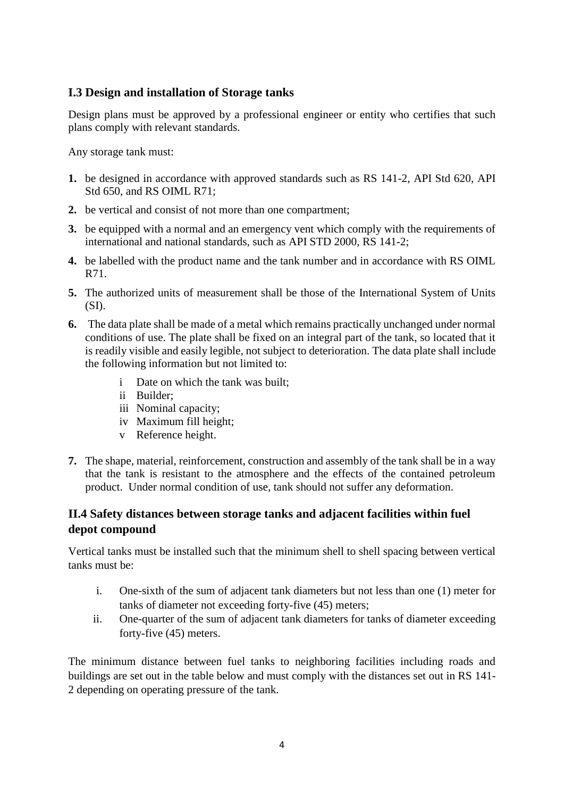# **I.3 Design and installation of Storage tanks**

Design plans must be approved by a professional engineer or entity who certifies that such plans comply with relevant standards.

Any storage tank must:

- **1.** be designed in accordance with approved standards such as RS 141-2, API Std 620, API Std 650, and RS OIML R71;
- **2.** be vertical and consist of not more than one compartment;
- **3.** be equipped with a normal and an emergency vent which comply with the requirements of international and national standards, such as API STD 2000, RS 141-2;
- **4.** be labelled with the product name and the tank number and in accordance with RS OIML R71.
- **5.** The authorized units of measurement shall be those of the International System of Units  $(SI)$ .
- **6.** The data plate shall be made of a metal which remains practically unchanged under normal conditions of use. The plate shall be fixed on an integral part of the tank, so located that it is readily visible and easily legible, not subject to deterioration. The data plate shall include the following information but not limited to:
	- i Date on which the tank was built;
	- ii Builder;
	- iii Nominal capacity;
	- iv Maximum fill height;
	- v Reference height.
- **7.** The shape, material, reinforcement, construction and assembly of the tank shall be in a way that the tank is resistant to the atmosphere and the effects of the contained petroleum product. Under normal condition of use, tank should not suffer any deformation.

## **II.4 Safety distances between storage tanks and adjacent facilities within fuel depot compound**

Vertical tanks must be installed such that the minimum shell to shell spacing between vertical tanks must be:

- i. One-sixth of the sum of adjacent tank diameters but not less than one (1) meter for tanks of diameter not exceeding forty-five (45) meters;
- ii. One-quarter of the sum of adjacent tank diameters for tanks of diameter exceeding forty-five (45) meters.

The minimum distance between fuel tanks to neighboring facilities including roads and buildings are set out in the table below and must comply with the distances set out in RS 141- 2 depending on operating pressure of the tank.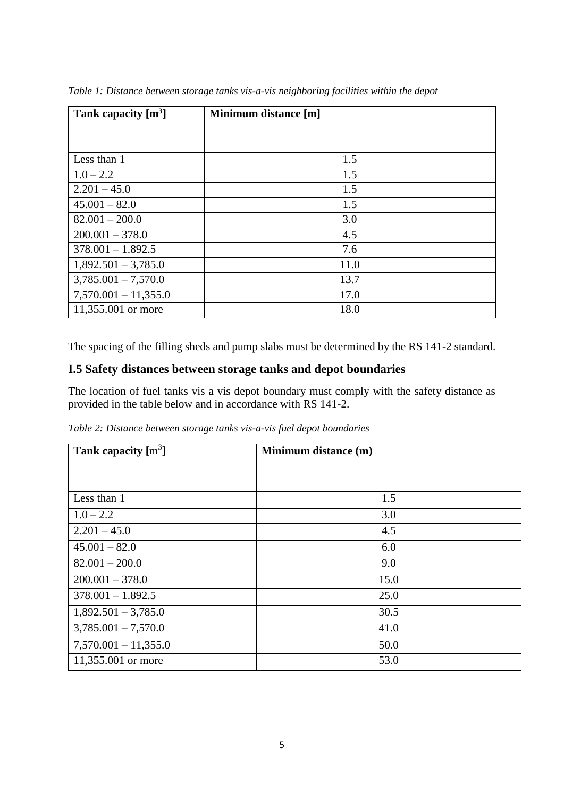| Tank capacity $[m3]$   | Minimum distance [m] |
|------------------------|----------------------|
|                        |                      |
| Less than 1            | 1.5                  |
| $1.0 - 2.2$            | 1.5                  |
| $2.201 - 45.0$         | 1.5                  |
| $45.001 - 82.0$        | 1.5                  |
| $82.001 - 200.0$       | 3.0                  |
| $200.001 - 378.0$      | 4.5                  |
| $378.001 - 1.892.5$    | 7.6                  |
| $1,892.501 - 3,785.0$  | 11.0                 |
| $3,785.001 - 7,570.0$  | 13.7                 |
| $7,570.001 - 11,355.0$ | 17.0                 |
| 11,355.001 or more     | 18.0                 |

*Table 1: Distance between storage tanks vis-a-vis neighboring facilities within the depot*

The spacing of the filling sheds and pump slabs must be determined by the RS 141-2 standard.

## **I.5 Safety distances between storage tanks and depot boundaries**

The location of fuel tanks vis a vis depot boundary must comply with the safety distance as provided in the table below and in accordance with RS 141-2.

*Table 2: Distance between storage tanks vis-a-vis fuel depot boundaries*

| Tank capacity $[m3]$   | Minimum distance (m) |
|------------------------|----------------------|
|                        |                      |
| Less than 1            | 1.5                  |
| $1.0 - 2.2$            | 3.0                  |
| $2.201 - 45.0$         | 4.5                  |
| $45.001 - 82.0$        | 6.0                  |
| $82.001 - 200.0$       | 9.0                  |
| $200.001 - 378.0$      | 15.0                 |
| $378.001 - 1.892.5$    | 25.0                 |
| $1,892.501 - 3,785.0$  | 30.5                 |
| $3,785.001 - 7,570.0$  | 41.0                 |
| $7,570.001 - 11,355.0$ | 50.0                 |
| 11,355.001 or more     | 53.0                 |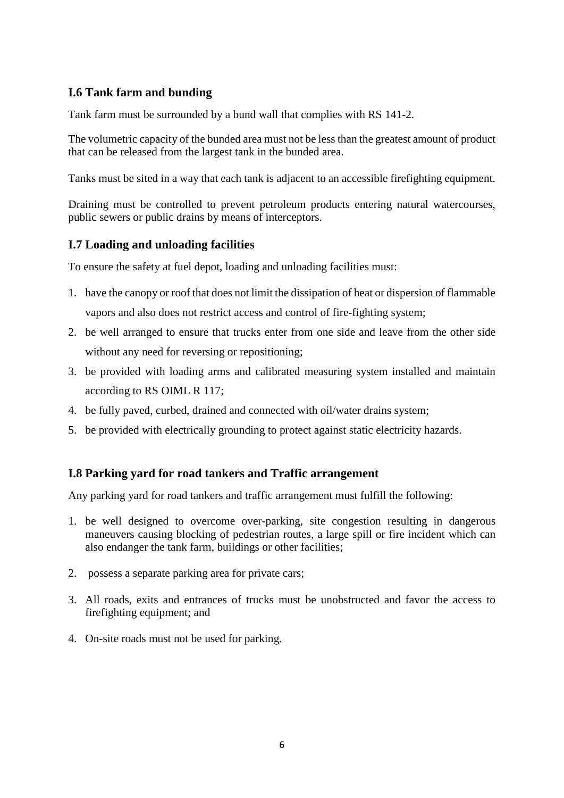## **I.6 Tank farm and bunding**

Tank farm must be surrounded by a bund wall that complies with RS 141-2.

The volumetric capacity of the bunded area must not be less than the greatest amount of product that can be released from the largest tank in the bunded area.

Tanks must be sited in a way that each tank is adjacent to an accessible firefighting equipment.

Draining must be controlled to prevent petroleum products entering natural watercourses, public sewers or public drains by means of interceptors.

### **I.7 Loading and unloading facilities**

To ensure the safety at fuel depot, loading and unloading facilities must:

- 1. have the canopy or roof that does not limit the dissipation of heat or dispersion of flammable vapors and also does not restrict access and control of fire-fighting system;
- 2. be well arranged to ensure that trucks enter from one side and leave from the other side without any need for reversing or repositioning;
- 3. be provided with loading arms and calibrated measuring system installed and maintain according to RS OIML R 117;
- 4. be fully paved, curbed, drained and connected with oil/water drains system;
- 5. be provided with electrically grounding to protect against static electricity hazards.

### **I.8 Parking yard for road tankers and Traffic arrangement**

Any parking yard for road tankers and traffic arrangement must fulfill the following:

- 1. be well designed to overcome over-parking, site congestion resulting in dangerous maneuvers causing blocking of pedestrian routes, a large spill or fire incident which can also endanger the tank farm, buildings or other facilities;
- 2. possess a separate parking area for private cars;
- 3. All roads, exits and entrances of trucks must be unobstructed and favor the access to firefighting equipment; and
- 4. On-site roads must not be used for parking.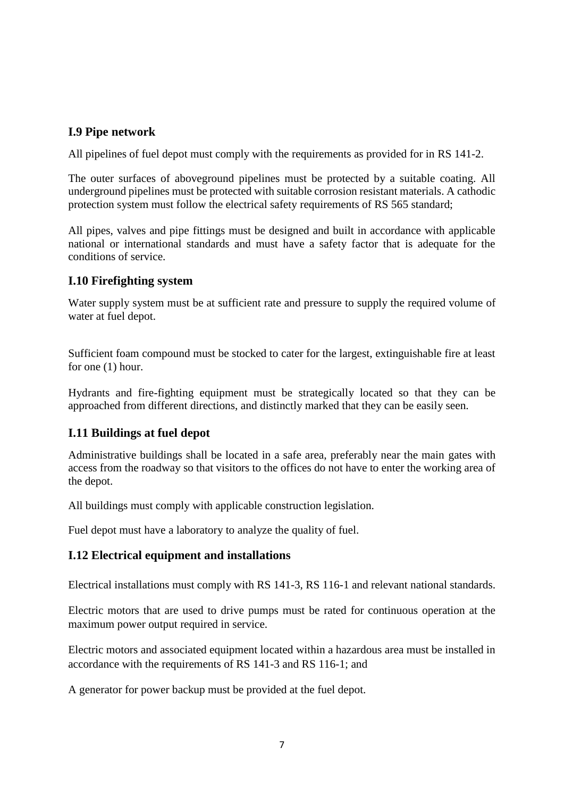## **I.9 Pipe network**

All pipelines of fuel depot must comply with the requirements as provided for in RS 141-2.

The outer surfaces of aboveground pipelines must be protected by a suitable coating. All underground pipelines must be protected with suitable corrosion resistant materials. A cathodic protection system must follow the electrical safety requirements of RS 565 standard;

All pipes, valves and pipe fittings must be designed and built in accordance with applicable national or international standards and must have a safety factor that is adequate for the conditions of service.

### **I.10 Firefighting system**

Water supply system must be at sufficient rate and pressure to supply the required volume of water at fuel depot.

Sufficient foam compound must be stocked to cater for the largest, extinguishable fire at least for one (1) hour.

Hydrants and fire-fighting equipment must be strategically located so that they can be approached from different directions, and distinctly marked that they can be easily seen.

### **I.11 Buildings at fuel depot**

Administrative buildings shall be located in a safe area, preferably near the main gates with access from the roadway so that visitors to the offices do not have to enter the working area of the depot.

All buildings must comply with applicable construction legislation.

Fuel depot must have a laboratory to analyze the quality of fuel.

#### **I.12 Electrical equipment and installations**

Electrical installations must comply with RS 141-3, RS 116-1 and relevant national standards.

Electric motors that are used to drive pumps must be rated for continuous operation at the maximum power output required in service.

Electric motors and associated equipment located within a hazardous area must be installed in accordance with the requirements of RS 141-3 and RS 116-1; and

A generator for power backup must be provided at the fuel depot.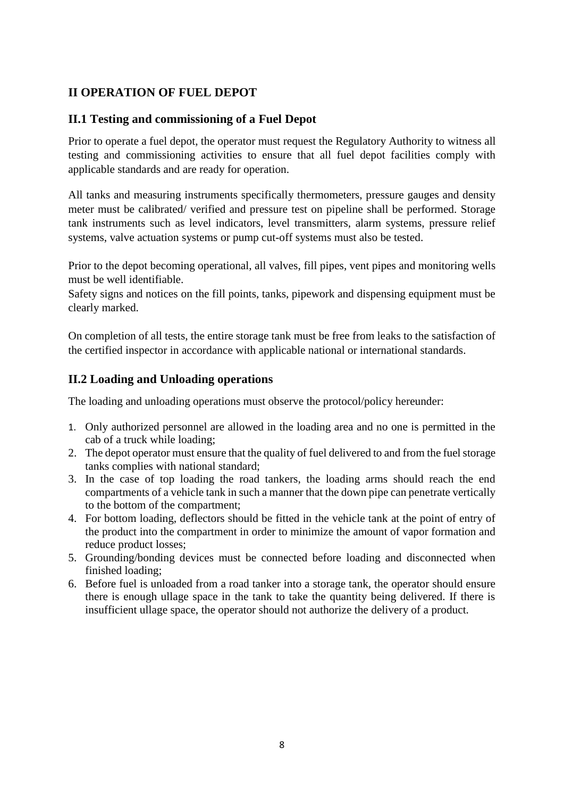## **II OPERATION OF FUEL DEPOT**

## **II.1 Testing and commissioning of a Fuel Depot**

Prior to operate a fuel depot, the operator must request the Regulatory Authority to witness all testing and commissioning activities to ensure that all fuel depot facilities comply with applicable standards and are ready for operation.

All tanks and measuring instruments specifically thermometers, pressure gauges and density meter must be calibrated/ verified and pressure test on pipeline shall be performed. Storage tank instruments such as level indicators, level transmitters, alarm systems, pressure relief systems, valve actuation systems or pump cut-off systems must also be tested.

Prior to the depot becoming operational, all valves, fill pipes, vent pipes and monitoring wells must be well identifiable.

Safety signs and notices on the fill points, tanks, pipework and dispensing equipment must be clearly marked.

On completion of all tests, the entire storage tank must be free from leaks to the satisfaction of the certified inspector in accordance with applicable national or international standards.

## **II.2 Loading and Unloading operations**

The loading and unloading operations must observe the protocol/policy hereunder:

- 1. Only authorized personnel are allowed in the loading area and no one is permitted in the cab of a truck while loading;
- 2. The depot operator must ensure that the quality of fuel delivered to and from the fuel storage tanks complies with national standard;
- 3. In the case of top loading the road tankers, the loading arms should reach the end compartments of a vehicle tank in such a manner that the down pipe can penetrate vertically to the bottom of the compartment;
- 4. For bottom loading, deflectors should be fitted in the vehicle tank at the point of entry of the product into the compartment in order to minimize the amount of vapor formation and reduce product losses;
- 5. Grounding/bonding devices must be connected before loading and disconnected when finished loading;
- 6. Before fuel is unloaded from a road tanker into a storage tank, the operator should ensure there is enough ullage space in the tank to take the quantity being delivered. If there is insufficient ullage space, the operator should not authorize the delivery of a product.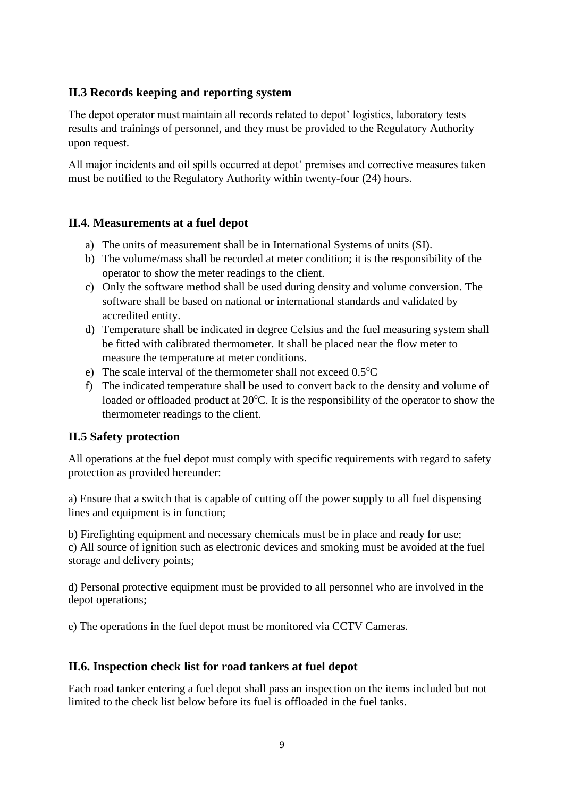## **II.3 Records keeping and reporting system**

The depot operator must maintain all records related to depot' logistics, laboratory tests results and trainings of personnel, and they must be provided to the Regulatory Authority upon request.

All major incidents and oil spills occurred at depot' premises and corrective measures taken must be notified to the Regulatory Authority within twenty-four (24) hours.

## **II.4. Measurements at a fuel depot**

- a) The units of measurement shall be in International Systems of units (SI).
- b) The volume/mass shall be recorded at meter condition; it is the responsibility of the operator to show the meter readings to the client.
- c) Only the software method shall be used during density and volume conversion. The software shall be based on national or international standards and validated by accredited entity.
- d) Temperature shall be indicated in degree Celsius and the fuel measuring system shall be fitted with calibrated thermometer. It shall be placed near the flow meter to measure the temperature at meter conditions.
- e) The scale interval of the thermometer shall not exceed  $0.5^{\circ}$ C
- f) The indicated temperature shall be used to convert back to the density and volume of loaded or offloaded product at  $20^{\circ}$ C. It is the responsibility of the operator to show the thermometer readings to the client.

## **II.5 Safety protection**

All operations at the fuel depot must comply with specific requirements with regard to safety protection as provided hereunder:

a) Ensure that a switch that is capable of cutting off the power supply to all fuel dispensing lines and equipment is in function;

b) Firefighting equipment and necessary chemicals must be in place and ready for use; c) All source of ignition such as electronic devices and smoking must be avoided at the fuel storage and delivery points;

d) Personal protective equipment must be provided to all personnel who are involved in the depot operations;

e) The operations in the fuel depot must be monitored via CCTV Cameras.

## **II.6. Inspection check list for road tankers at fuel depot**

Each road tanker entering a fuel depot shall pass an inspection on the items included but not limited to the check list below before its fuel is offloaded in the fuel tanks.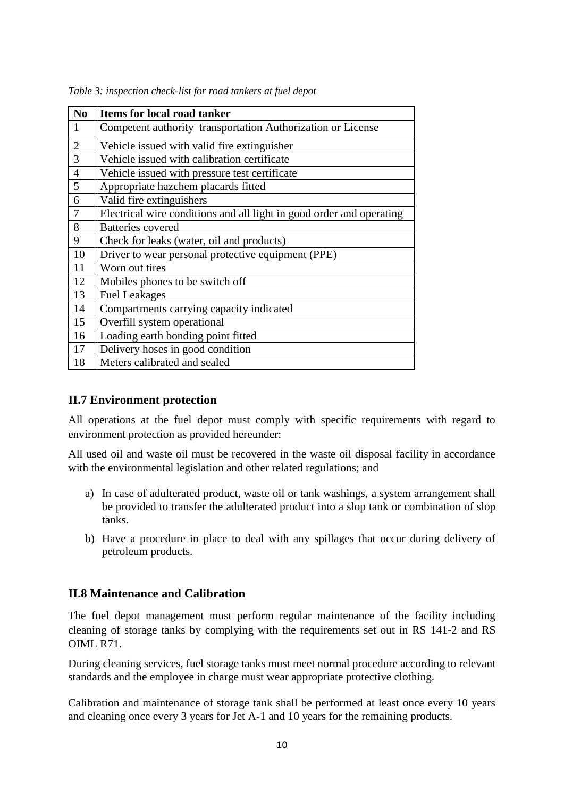| N <sub>0</sub> | Items for local road tanker                                          |
|----------------|----------------------------------------------------------------------|
| 1              | Competent authority transportation Authorization or License          |
| $\overline{2}$ | Vehicle issued with valid fire extinguisher                          |
| 3              | Vehicle issued with calibration certificate                          |
| $\overline{4}$ | Vehicle issued with pressure test certificate                        |
| $\overline{5}$ | Appropriate hazchem placards fitted                                  |
| 6              | Valid fire extinguishers                                             |
| $\overline{7}$ | Electrical wire conditions and all light in good order and operating |
| 8              | <b>Batteries</b> covered                                             |
| 9              | Check for leaks (water, oil and products)                            |
| 10             | Driver to wear personal protective equipment (PPE)                   |
| 11             | Worn out tires                                                       |
| 12             | Mobiles phones to be switch off                                      |
| 13             | <b>Fuel Leakages</b>                                                 |
| 14             | Compartments carrying capacity indicated                             |
| 15             | Overfill system operational                                          |
| 16             | Loading earth bonding point fitted                                   |
| 17             | Delivery hoses in good condition                                     |
| 18             | Meters calibrated and sealed                                         |

*Table 3: inspection check-list for road tankers at fuel depot*

### **II.7 Environment protection**

All operations at the fuel depot must comply with specific requirements with regard to environment protection as provided hereunder:

All used oil and waste oil must be recovered in the waste oil disposal facility in accordance with the environmental legislation and other related regulations; and

- a) In case of adulterated product, waste oil or tank washings, a system arrangement shall be provided to transfer the adulterated product into a slop tank or combination of slop tanks.
- b) Have a procedure in place to deal with any spillages that occur during delivery of petroleum products.

### **II.8 Maintenance and Calibration**

The fuel depot management must perform regular maintenance of the facility including cleaning of storage tanks by complying with the requirements set out in RS 141-2 and RS OIML R71.

During cleaning services, fuel storage tanks must meet normal procedure according to relevant standards and the employee in charge must wear appropriate protective clothing.

Calibration and maintenance of storage tank shall be performed at least once every 10 years and cleaning once every 3 years for Jet A-1 and 10 years for the remaining products.